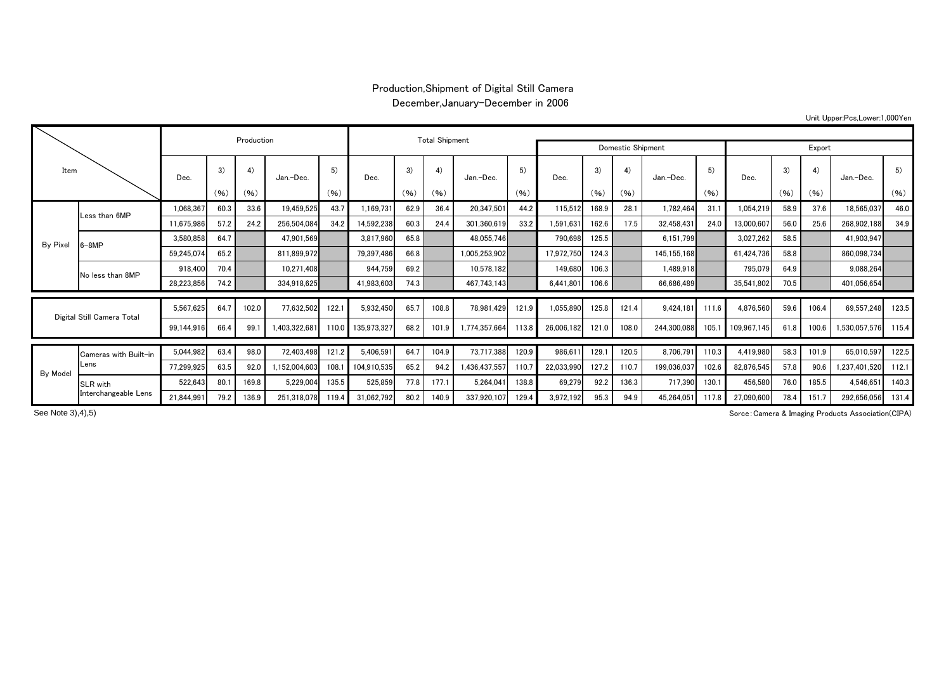## Production,Shipment of Digital Still Camera

December,January-December in 2006

|  |  | Unit Upper:Pcs,Lower:1,000Yen |  |  |
|--|--|-------------------------------|--|--|
|--|--|-------------------------------|--|--|

| Item     |                                  |            | Production |       | <b>Total Shipment</b> |       |             |                   |       |               |       |            |       |       |             |       |             |      |       |              |       |
|----------|----------------------------------|------------|------------|-------|-----------------------|-------|-------------|-------------------|-------|---------------|-------|------------|-------|-------|-------------|-------|-------------|------|-------|--------------|-------|
|          |                                  |            |            |       |                       |       |             | Domestic Shipment |       | Export        |       |            |       |       |             |       |             |      |       |              |       |
|          |                                  | Dec.       | 3)         | 4)    | Jan.-Dec.             | 5)    | Dec.        | 3)                | 4)    | Jan.-Dec.     | 5)    | Dec.       | 3)    | 4)    | Jan.-Dec.   | 5)    | Dec.        | 3)   | 4)    | Jan.-Dec.    | 5)    |
|          |                                  |            | (96)       | (96)  |                       | (96)  |             | (96)              | (96)  |               | (96)  |            | (96)  | (96)  |             | (96)  |             | (96) | (96)  |              | (96)  |
| By Pixel | Less than 6MP                    | 1,068,367  | 60.3       | 33.6  | 19,459,525            | 43.7  | 1,169,731   | 62.9              | 36.4  | 20,347,501    | 44.2  | 115,512    | 168.9 | 28.1  | 1,782,464   | 31.1  | 1,054,219   | 58.9 | 37.6  | 18,565,037   | 46.0  |
|          |                                  | 11,675,986 | 57.2       | 24.2  | 256,504,084           | 34.2  | 14,592,238  | 60.3              | 24.4  | 301,360,619   | 33.2  | 1,591,631  | 162.6 | 17.5  | 32,458,431  | 24.0  | 13,000,607  | 56.0 | 25.6  | 268,902,188  | 34.9  |
|          | $6 - 8MP$                        | 3,580,858  | 64.7       |       | 47,901,569            |       | 3,817,960   | 65.8              |       | 48,055,746    |       | 790,698    | 125.5 |       | 6.151.799   |       | 3,027,262   | 58.5 |       | 41,903,947   |       |
|          |                                  | 59,245,074 | 65.2       |       | 811,899,972           |       | 79,397,486  | 66.8              |       | 1,005,253,902 |       | 17,972,750 | 124.3 |       | 145,155,168 |       | 61.424.736  | 58.8 |       | 860,098,734  |       |
|          | No less than 8MP                 | 918,400    | 70.4       |       | 10,271,408            |       | 944,759     | 69.2              |       | 10,578,182    |       | 149,680    | 106.3 |       | 1,489,918   |       | 795,079     | 64.9 |       | 9,088,264    |       |
|          |                                  | 28,223,856 | 74.2       |       | 334,918,625           |       | 41,983,603  | 74.3              |       | 467,743,143   |       | 6.441.801  | 106.6 |       | 66.686.489  |       | 35,541,802  | 70.5 |       | 401,056,654  |       |
|          |                                  | 5,567,625  |            |       |                       |       |             |                   |       |               |       |            |       |       |             |       |             |      |       |              |       |
|          | Digital Still Camera Total       |            | 64.7       | 102.0 | 77,632,502            | 122.1 | 5,932,450   | 65.7              | 108.8 | 78,981,429    | 121.9 | ,055,890   | 125.8 | 121.4 | 9.424.181   | 111.6 | 4,876,560   | 59.6 | 106.4 | 69,557,248   | 123.5 |
|          |                                  | 99,144,916 | 66.4       | 99.   | 403,322,681           | 110.0 | 135,973,327 | 68.2              | 101.9 | 1,774,357,664 | 113.8 | 26,006,182 | 121.0 | 108.0 | 244,300,088 |       | 109,967,145 | 61.8 | 100.6 | ,530,057,576 | 115.4 |
|          |                                  | 5,044,982  | 63.4       | 98.0  | 72,403,498            | 121.2 | 5,406,591   | 64.7              | 104.9 | 73,717,388    | 120.9 | 986,61     | 129.1 | 120.5 | 8,706,791   | 110.3 | 4,419,980   | 58.3 | 101.9 | 65,010,597   | 122.5 |
|          | Cameras with Built-in<br>Lens    | 77,299,925 | 63.5       | 92.0  | 1.152.004.603         | 108.  | 104.910.535 | 65.2              | 94.2  | 1,436,437,55  | 110.7 | 22,033,990 | 127.2 | 110.7 | 199.036.037 | 102.6 | 82,876,545  | 57.8 | 90.6  | .237.401.520 | 112.1 |
| By Model |                                  |            |            |       |                       |       |             |                   |       |               |       |            |       |       |             |       |             |      |       |              |       |
|          | SLR with<br>Interchangeable Lens | 522,643    | 80.        | 169.8 | 5,229,004             | 135.5 | 525,859     | 77.8              | 177.1 | 5,264,04      | 138.8 | 69,279     | 92.2  | 136.3 | 717,390     | 130.1 | 456,580     | 76.0 | 185.5 | 4,546,651    | 140.3 |
|          |                                  | 21,844,991 | 79.2       | 136.9 | 251,318,078           | 119.4 | 31,062,792  | 80.2              | 140.9 | 337,920,107   | 129.4 | 3,972,192  | 95.3  | 94.9  | 45.264.051  | 117.8 | 27.090.600  | 78.4 | 151.7 | 292.656.056  | 131.4 |

See Note 3),4),5)

Sorce:Camera & Imaging Products Association(CIPA)